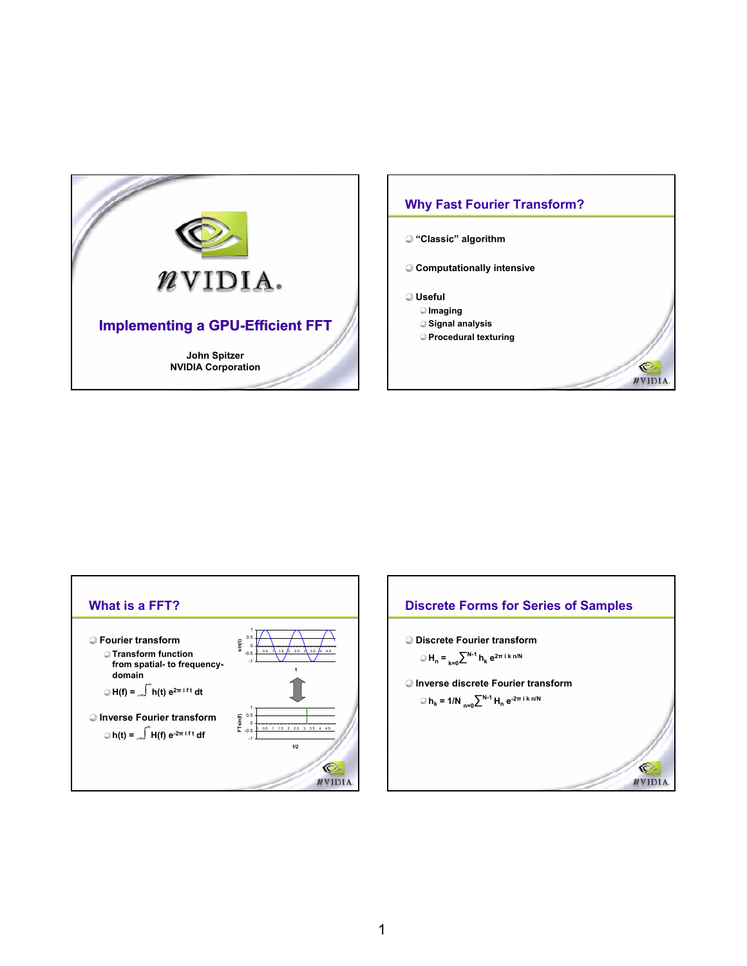





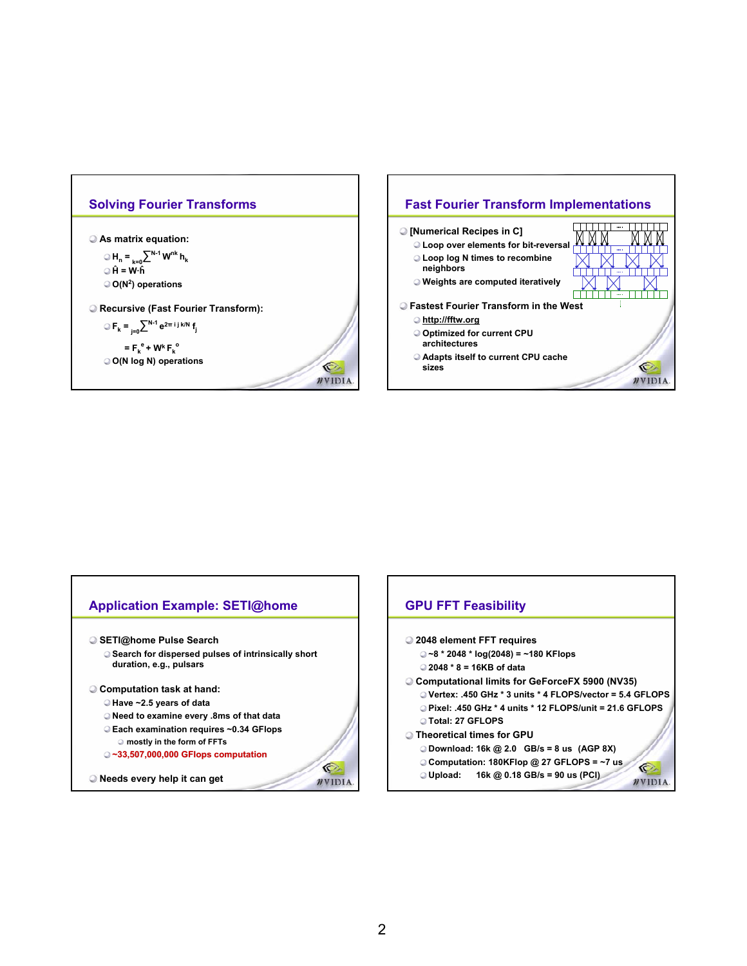

**As matrix equation:**

■ **H**<sub>n</sub> **=**  $_{k=0}$  $\sum^{N-1} W^{nk} h_k$ **Ĥ = W·ĥ O(N2) operations**

**Recursive (Fast Fourier Transform):**

**Fk = j=0∑N-1 e2<sup>π</sup> i j k/N fj**

 $=$  **F**<sub>k</sub><sup>e</sup> + W<sup>k</sup> F<sub>k</sub><sup>o</sup> **O(N log N) operations**

**Fast Fourier Transform Implementations THEFT** an an Tar **[Numerical Recipes in C]** <u>MM</u> **Loop over elements for bit-reversal Loop log N times to recombine neighbors Weights are computed iteratively FILLER Fastest Fourier Transform in the West http://fftw.org Optimized for current CPU architectures Adapts itself to current CPU cache sizes** O. **NVIDIA** 



O.

 $\n *n*$ VIDIA.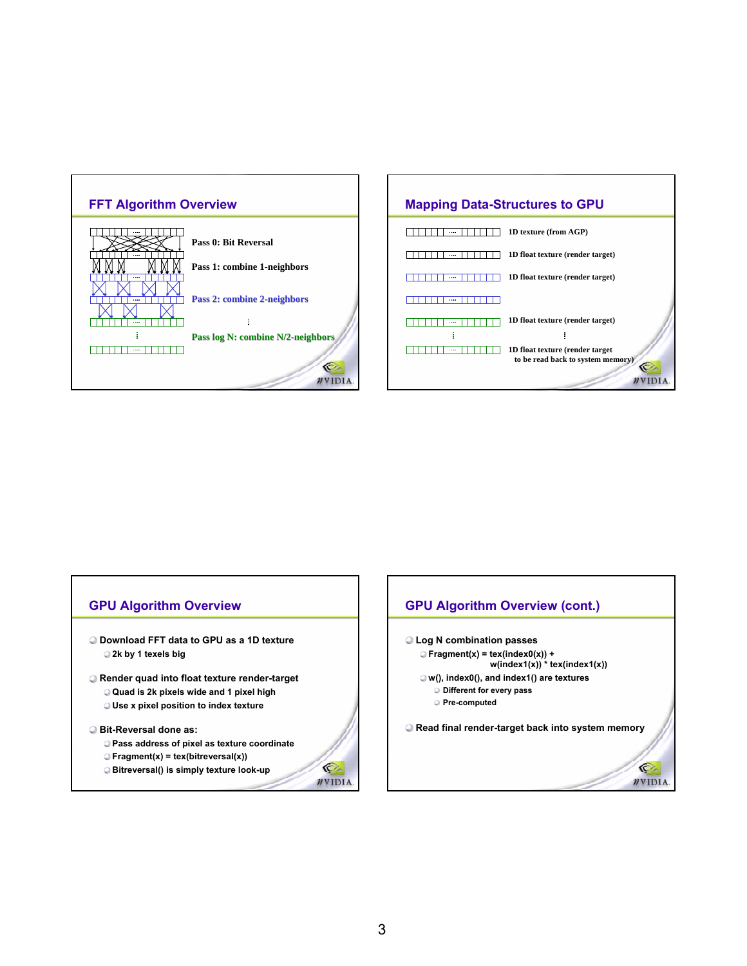



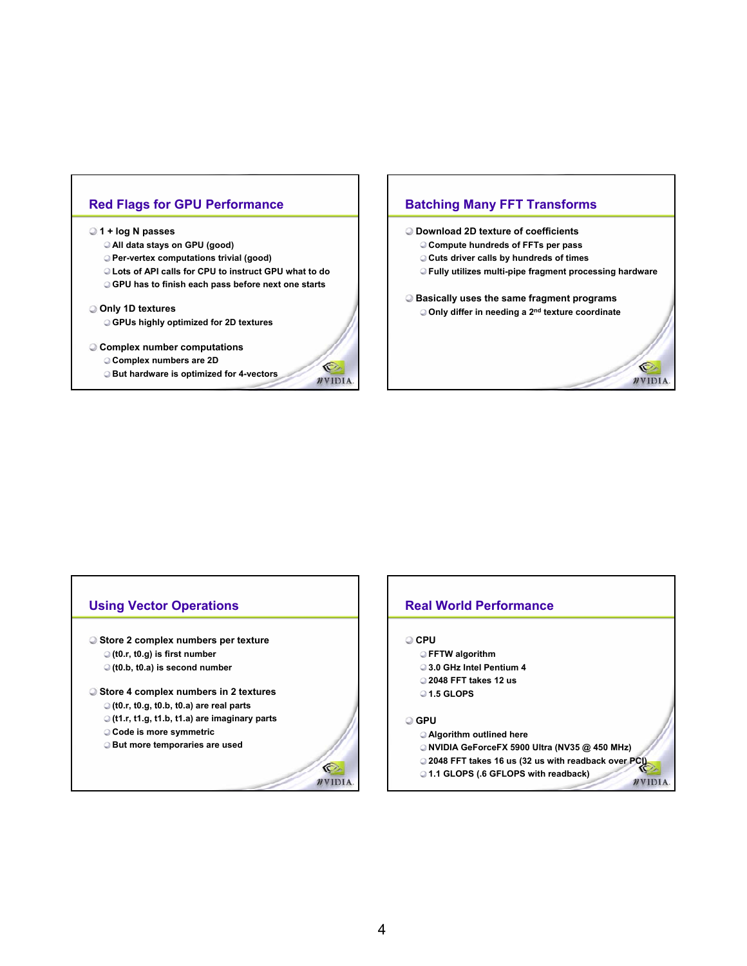# **Red Flags for GPU Performance**

#### **1 + log N passes**

- **All data stays on GPU (good)**
- **Per-vertex computations trivial (good)**
- **Lots of API calls for CPU to instruct GPU what to do**
- **GPU has to finish each pass before next one starts**

#### **Only 1D textures**

**GPUs highly optimized for 2D textures**

#### **Complex number computations**

- **Complex numbers are 2D**
- **But hardware is optimized for 4-vectors**

# **Batching Many FFT Transforms**

- **Download 2D texture of coefficients**
	- **Compute hundreds of FFTs per pass**
	- **Cuts driver calls by hundreds of times**
	- **Fully utilizes multi-pipe fragment processing hardware**

Ó

**NVIDIA** 

**Basically uses the same fragment programs Only differ in needing a 2nd texture coordinate**

# **Using Vector Operations Store 2 complex numbers per texture (t0.r, t0.g) is first number (t0.b, t0.a) is second number**

**Store 4 complex numbers in 2 textures**

- **(t0.r, t0.g, t0.b, t0.a) are real parts**
- **(t1.r, t1.g, t1.b, t1.a) are imaginary parts**
- **Code is more symmetric**
- **But more temporaries are used**



O. WVIDIA.

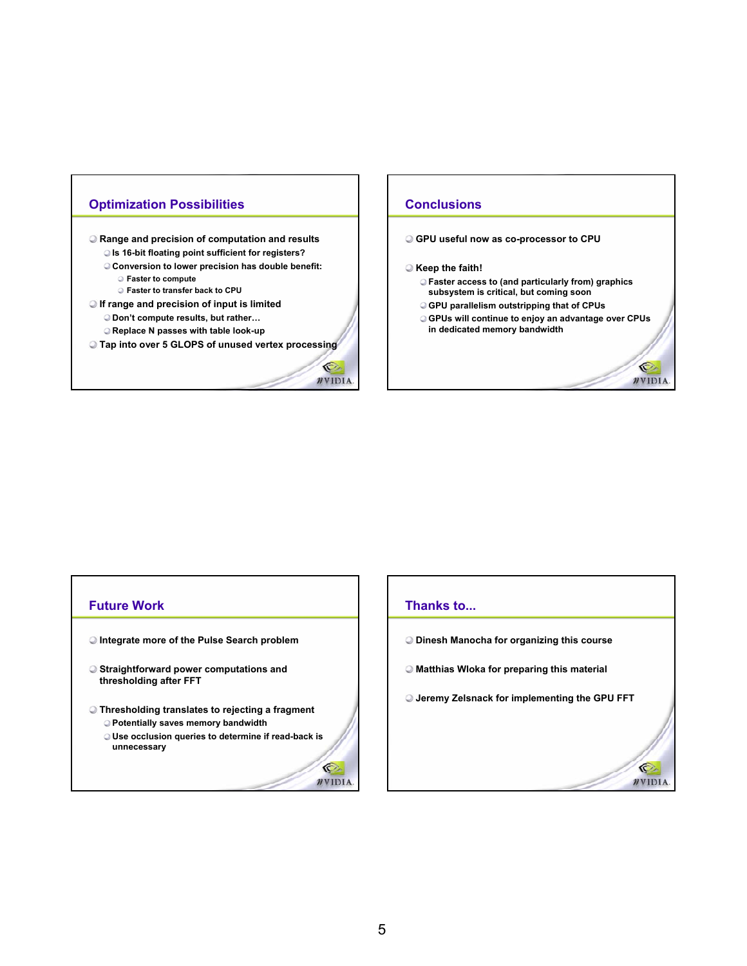# **Optimization Possibilities**

**Range and precision of computation and results Is 16-bit floating point sufficient for registers? Conversion to lower precision has double benefit: Faster to compute**

**Faster to transfer back to CPU**

**If range and precision of input is limited Don't compute results, but rather… Replace N passes with table look-up**

**Tap into over 5 GLOPS of unused vertex processing**

O.

 $\n *n*$ VIDIA.

G

 $\n *n*$ VIDIA.

# **Conclusions**

### **GPU useful now as co-processor to CPU**

#### **Keep the faith!**

- **Faster access to (and particularly from) graphics subsystem is critical, but coming soon**
- **GPU parallelism outstripping that of CPUs**
- **GPUs will continue to enjoy an advantage over CPUs in dedicated memory bandwidth**

O

**NVIDIA** 

G  $\n *n*$ VIDIA

## **Future Work**

- **Integrate more of the Pulse Search problem**
- **Straightforward power computations and thresholding after FFT**
- **Thresholding translates to rejecting a fragment**
	- **Potentially saves memory bandwidth**
	- **Use occlusion queries to determine if read-back is unnecessary**

## **Thanks to...**

- **Dinesh Manocha for organizing this course**
- **Matthias Wloka for preparing this material**
- **Jeremy Zelsnack for implementing the GPU FFT**